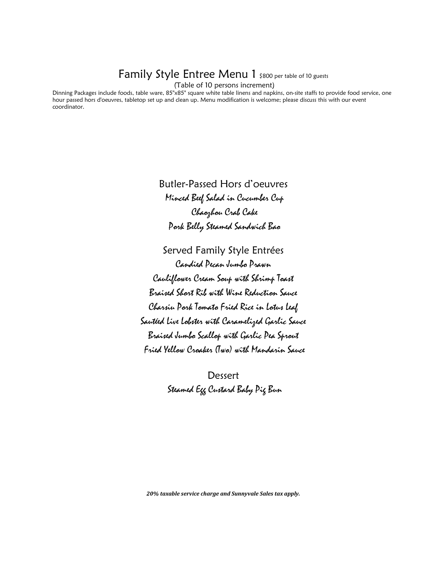### Family Style Entree Menu 1 \$800 per table of 10 guests

(Table of 10 persons increment)

Dinning Packages include foods, table ware, 85"x85" square white table linens and napkins, on-site staffs to provide food service, one hour passed hors d'oeuvres, tabletop set up and clean up. Menu modification is welcome; please discuss this with our event coordinator.

> Butler-Passed Hors d'oeuvres Minced Beef Salad in Cucumber Cup Chaozhou Crab Cake Pork Belly Steamed Sandwich Bao

Served Family Style Entrées Candied Pecan Jumbo Prawn Cauliflower Cream Soup with Shrimp Toast Braised Short Rib with Wine Reduction Sauce Charsiu Pork Tomato Fried Rice in Lotus Leaf Sautéed Live Lobster with Caramelized Garlic Sauce Braised Jumbo Scallop with Garlic Pea Sprout Fried Yellow Croaker (Two) with Mandarin Sauce

> Dessert Steamed Egg Custard Baby Pig Bun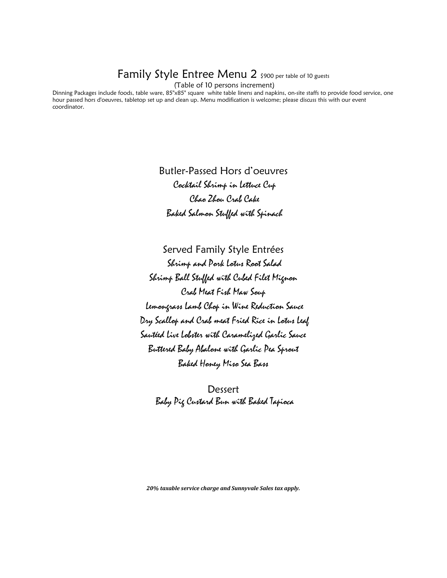## Family Style Entree Menu 2 \$900 per table of 10 guests

(Table of 10 persons increment)

Dinning Packages include foods, table ware, 85"x85" square white table linens and napkins, on-site staffs to provide food service, one hour passed hors d'oeuvres, tabletop set up and clean up. Menu modification is welcome; please discuss this with our event coordinator.

> Butler-Passed Hors d'oeuvres Cocktail Shrimp in Lettuce Cup Chao Zhou Crab Cake Baked Salmon Stuffed with Spinach

Served Family Style Entrées Shrimp and Pork Lotus Root Salad Shrimp Ball Stuffed with Cubed Filet Mignon Crab Meat Fish Maw Soup Lemongrass Lamb Chop in Wine Reduction Sauce Dry Scallop and Crab meat Fried Rice in Lotus Leaf Sautéed Live Lobster with Caramelized Garlic Sauce Buttered Baby Abalone with Garlic Pea Sprout Baked Honey Miso Sea Bass

Dessert Baby Pig Custard Bun with Baked Tapioca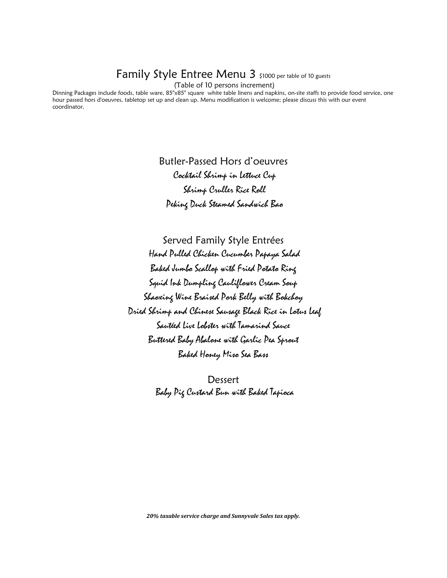## Family Style Entree Menu 3 \$1000 per table of 10 guests

(Table of 10 persons increment)

Dinning Packages include foods, table ware, 85"x85" square white table linens and napkins, on-site staffs to provide food service, one hour passed hors d'oeuvres, tabletop set up and clean up. Menu modification is welcome; please discuss this with our event coordinator.

> Butler-Passed Hors d'oeuvres Cocktail Shrimp in Lettuce Cup Shrimp Cruller Rice Roll Peking Duck Steamed Sandwich Bao

Served Family Style Entrées Hand Pulled Chicken Cucumber Papaya Salad Baked Jumbo Scallop with Fried Potato Ring Squid Ink Dumpling Cauliflower Cream Soup Shaoxing Wine Braised Pork Belly with Bokchoy Dried Shrimp and Chinese Sausage Black Rice in Lotus Leaf Sautéed Live Lobster with Tamarind Sauce Buttered Baby Abalone with Garlic Pea Sprout Baked Honey Miso Sea Bass

> **Dessert** Baby Pig Custard Bun with Baked Tapioca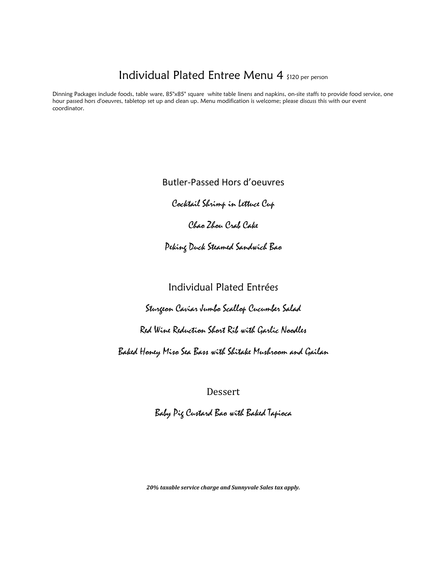# Individual Plated Entree Menu 4 \$120 per person

Dinning Packages include foods, table ware, 85"x85" square white table linens and napkins, on-site staffs to provide food service, one hour passed hors d'oeuvres, tabletop set up and clean up. Menu modification is welcome; please discuss this with our event coordinator.

Butler-Passed Hors d'oeuvres

Cocktail Shrimp in Lettuce Cup

Chao Zhou Crab Cake

Peking Duck Steamed Sandwich Bao

#### Individual Plated Entrées

Sturgeon Caviar Jumbo Scallop Cucumber Salad

Red Wine Reduction Short Rib with Garlic Noodles

Baked Honey Miso Sea Bass with Shitake Mushroom and Gailan

Dessert

Baby Pig Custard Bao with Baked Tapioca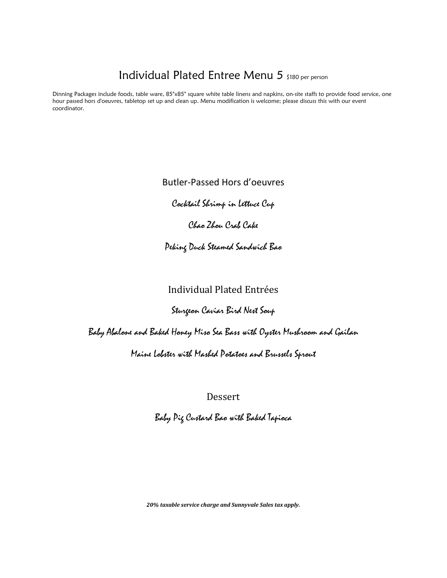## Individual Plated Entree Menu 5 \$180 per person

Dinning Packages include foods, table ware, 85"x85" square white table linens and napkins, on-site staffs to provide food service, one hour passed hors d'oeuvres, tabletop set up and clean up. Menu modification is welcome; please discuss this with our event coordinator.

Butler-Passed Hors d'oeuvres

Cocktail Shrimp in Lettuce Cup

Chao Zhou Crab Cake

Peking Duck Steamed Sandwich Bao

#### Individual Plated Entrées

#### Sturgeon Caviar Bird Nest Soup

Baby Abalone and Baked Honey Miso Sea Bass with Oyster Mushroom and Gailan

Maine Lobster with Mashed Potatoes and Brussels Sprout

Dessert

Baby Pig Custard Bao with Baked Tapioca